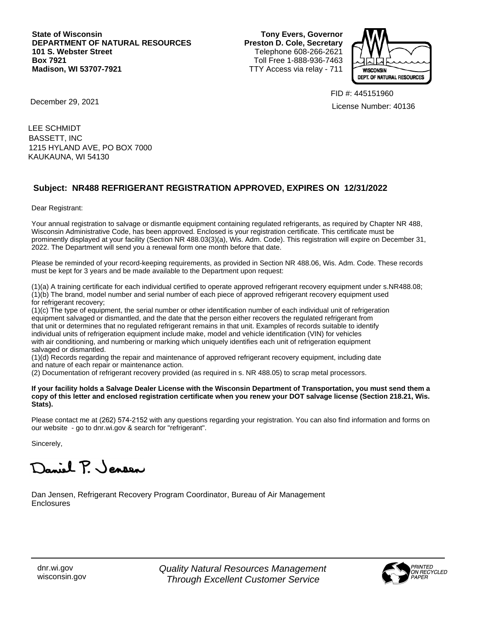**State of Wisconsin DEPARTMENT OF NATURAL RESOURCES 101 S. Webster Street Box 7921 Madison, WI 53707-7921**

**Tony Evers, Governor Preston D. Cole, Secretary** Telephone 608-266-2621 Toll Free 1-888-936-7463 TTY Access via relay - 711



FID #: 445151960 License Number: 40136

December 29, 2021

LEE SCHMIDT 1215 HYLAND AVE, PO BOX 7000 KAUKAUNA, WI 54130 BASSETT, INC

## **Subject: NR488 REFRIGERANT REGISTRATION APPROVED, EXPIRES ON 12/31/2022**

Dear Registrant:

Your annual registration to salvage or dismantle equipment containing regulated refrigerants, as required by Chapter NR 488, Wisconsin Administrative Code, has been approved. Enclosed is your registration certificate. This certificate must be prominently displayed at your facility (Section NR 488.03(3)(a), Wis. Adm. Code). This registration will expire on December 31, 2022. The Department will send you a renewal form one month before that date.

Please be reminded of your record-keeping requirements, as provided in Section NR 488.06, Wis. Adm. Code. These records must be kept for 3 years and be made available to the Department upon request:

(1)(a) A training certificate for each individual certified to operate approved refrigerant recovery equipment under s.NR488.08; (1)(b) The brand, model number and serial number of each piece of approved refrigerant recovery equipment used for refrigerant recovery;

(1)(c) The type of equipment, the serial number or other identification number of each individual unit of refrigeration equipment salvaged or dismantled, and the date that the person either recovers the regulated refrigerant from that unit or determines that no regulated refrigerant remains in that unit. Examples of records suitable to identify individual units of refrigeration equipment include make, model and vehicle identification (VIN) for vehicles with air conditioning, and numbering or marking which uniquely identifies each unit of refrigeration equipment salvaged or dismantled.

(1)(d) Records regarding the repair and maintenance of approved refrigerant recovery equipment, including date and nature of each repair or maintenance action.

(2) Documentation of refrigerant recovery provided (as required in s. NR 488.05) to scrap metal processors.

**If your facility holds a Salvage Dealer License with the Wisconsin Department of Transportation, you must send them a copy of this letter and enclosed registration certificate when you renew your DOT salvage license (Section 218.21, Wis. Stats).**

Please contact me at (262) 574-2152 with any questions regarding your registration. You can also find information and forms on our website - go to dnr.wi.gov & search for "refrigerant".

Sincerely,

Daniel P. Jensen

Dan Jensen, Refrigerant Recovery Program Coordinator, Bureau of Air Management Enclosures